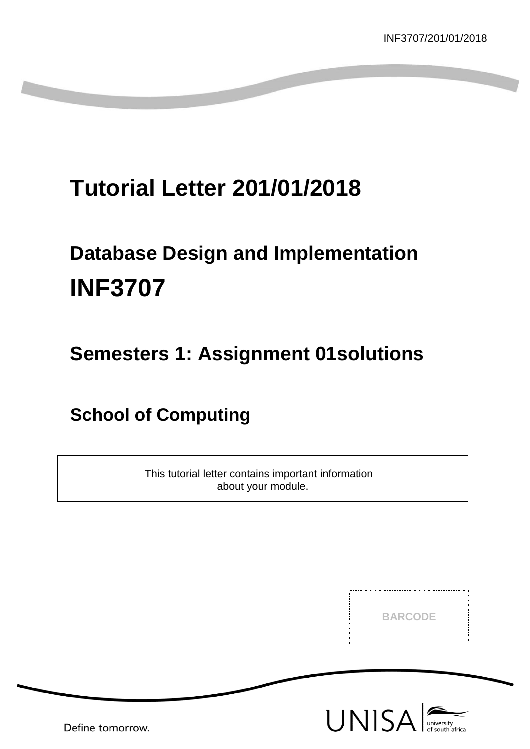## **Tutorial Letter 201/01/2018**

## **Database Design and Implementation INF3707**

## **Semesters 1: Assignment 01solutions**

## **School of Computing**

This tutorial letter contains important information about your module.

**BARCODE**

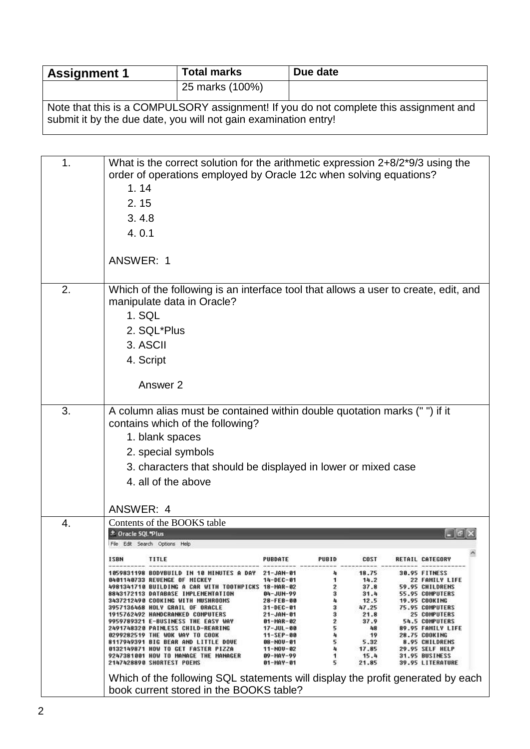| <b>Assignment 1</b>                                                                                                                                      | <b>Total marks</b> | Due date |  |  |  |
|----------------------------------------------------------------------------------------------------------------------------------------------------------|--------------------|----------|--|--|--|
|                                                                                                                                                          | 25 marks (100%)    |          |  |  |  |
| Note that this is a COMPULSORY assignment! If you do not complete this assignment and<br>submit it by the due date, you will not gain examination entry! |                    |          |  |  |  |

| 1. | What is the correct solution for the arithmetic expression 2+8/2*9/3 using the<br>order of operations employed by Oracle 12c when solving equations?<br>1.14 |                               |              |               |                                                |  |
|----|--------------------------------------------------------------------------------------------------------------------------------------------------------------|-------------------------------|--------------|---------------|------------------------------------------------|--|
|    | 2.15                                                                                                                                                         |                               |              |               |                                                |  |
|    | 3.4.8                                                                                                                                                        |                               |              |               |                                                |  |
|    | 4.0.1                                                                                                                                                        |                               |              |               |                                                |  |
|    | ANSWER: 1                                                                                                                                                    |                               |              |               |                                                |  |
| 2. | Which of the following is an interface tool that allows a user to create, edit, and<br>manipulate data in Oracle?<br>1. SQL                                  |                               |              |               |                                                |  |
|    | 2. SQL*Plus                                                                                                                                                  |                               |              |               |                                                |  |
|    | 3. ASCII                                                                                                                                                     |                               |              |               |                                                |  |
|    |                                                                                                                                                              |                               |              |               |                                                |  |
|    | 4. Script                                                                                                                                                    |                               |              |               |                                                |  |
|    | Answer 2                                                                                                                                                     |                               |              |               |                                                |  |
| 3. | A column alias must be contained within double quotation marks (" ") if it                                                                                   |                               |              |               |                                                |  |
|    | contains which of the following?                                                                                                                             |                               |              |               |                                                |  |
|    | 1. blank spaces                                                                                                                                              |                               |              |               |                                                |  |
|    | 2. special symbols                                                                                                                                           |                               |              |               |                                                |  |
|    | 3. characters that should be displayed in lower or mixed case                                                                                                |                               |              |               |                                                |  |
|    | 4. all of the above                                                                                                                                          |                               |              |               |                                                |  |
|    |                                                                                                                                                              |                               |              |               |                                                |  |
|    | ANSWER: 4                                                                                                                                                    |                               |              |               |                                                |  |
| 4. | Contents of the BOOKS table                                                                                                                                  |                               |              |               |                                                |  |
|    | <b>Cacle SOL Plus</b>                                                                                                                                        |                               |              |               |                                                |  |
|    | File Edit Search Options Help                                                                                                                                |                               |              |               |                                                |  |
|    | <b>ISBN</b><br>TITLE                                                                                                                                         | PUBDATE                       | <b>PUBID</b> | <b>COST</b>   | RETAIL CATEGORY                                |  |
|    | <b>1059831198 BODYBUILD IN 10 MINUTES A DAY</b><br>0401140733 REVENGE OF MICKEY                                                                              | 21-JAN-01<br>14-DEC-01        | 4<br>1       | 18.75<br>14.2 | 30.95 FITNESS<br>22 FAMILY LIFE                |  |
|    | 4981341710 BUILDING A CAR WITH TOOTHPICKS 18-MAR-02<br>8843172113 DATABASE IMPLEMENTATION                                                                    | 84-JUN-99                     | 2<br>3       | 37.8<br>31.4  | 59.95 CHILDRENS<br><b>55.95 COMPUTERS</b>      |  |
|    | 3437212498 COOKING WITH MUSHROOMS<br>3957136468 HOLY GRAIL OF ORACLE                                                                                         | 28-FEB-00                     | 4<br>3       | 12.5<br>47.25 | <b>19.95 COOKING</b><br><b>75.95 COMPUTERS</b> |  |
|    | 1915762492 HANDCRANKED COMPUTERS                                                                                                                             | 31-DEC-01<br>21-JAN-01        | 3            | 21.8          | <b>25 COMPUTERS</b>                            |  |
|    | 9959789321 E-BUSINESS THE EASY WAY<br>2491748320 PAINLESS CHILD-REARING                                                                                      | 91-HAR-02<br>17-JUL-00        | 2<br>5       | 37.9<br>48    | <b>54.5 COMPUTERS</b><br>89.95 FAMILY LIFE     |  |
|    | <b>0299282519 THE WOK WAY TO COOK</b>                                                                                                                        | $11 -$ SEP-00                 |              | 19            | <b>28.75 COOKING</b>                           |  |
|    | 8117949391 BIG BEAR AND LITTLE DOVE<br>0132149871 HOW TO GET FASTER PIZZA                                                                                    | 88-NOV-81<br>11-NOV-02        | 5            | 5.32<br>17.85 | 8.95 CHILDRENS<br>29.95 SELF HELP              |  |
|    | 9247381001 HOW TO MANAGE THE MANAGER<br>2147428890 SHORTEST POEMS                                                                                            | 89-HAY-99<br><b>91-MAY-01</b> | 5            | 15.4<br>21.85 | 31.95 BUSINESS<br><b>39.95 LITERATURE</b>      |  |
|    | Which of the following SQL statements will display the profit generated by each                                                                              |                               |              |               |                                                |  |
|    | book current stored in the BOOKS table?                                                                                                                      |                               |              |               |                                                |  |
|    |                                                                                                                                                              |                               |              |               |                                                |  |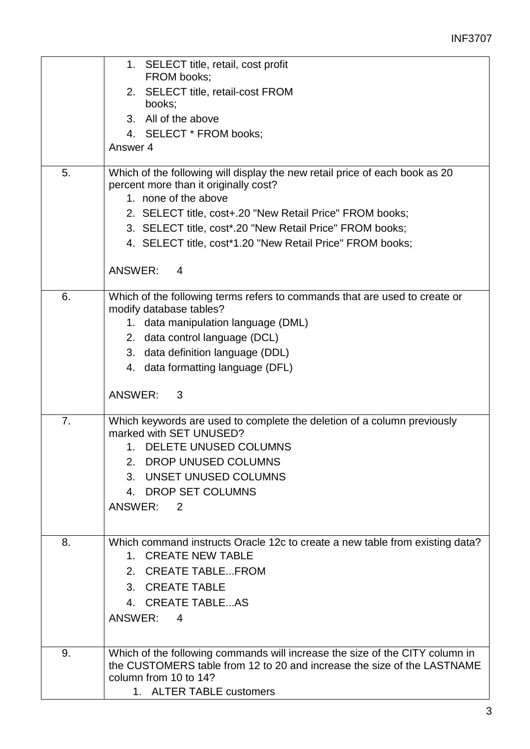|    | 1. SELECT title, retail, cost profit                                                                                                                                                                         |
|----|--------------------------------------------------------------------------------------------------------------------------------------------------------------------------------------------------------------|
|    | FROM books;                                                                                                                                                                                                  |
|    | 2. SELECT title, retail-cost FROM<br>books;                                                                                                                                                                  |
|    | 3. All of the above                                                                                                                                                                                          |
|    | 4. SELECT * FROM books;                                                                                                                                                                                      |
|    | Answer 4                                                                                                                                                                                                     |
| 5. | Which of the following will display the new retail price of each book as 20<br>percent more than it originally cost?                                                                                         |
|    | 1. none of the above                                                                                                                                                                                         |
|    | 2. SELECT title, cost+.20 "New Retail Price" FROM books;                                                                                                                                                     |
|    | 3. SELECT title, cost*.20 "New Retail Price" FROM books;                                                                                                                                                     |
|    | 4. SELECT title, cost*1.20 "New Retail Price" FROM books;                                                                                                                                                    |
|    | ANSWER:<br>4                                                                                                                                                                                                 |
| 6. | Which of the following terms refers to commands that are used to create or                                                                                                                                   |
|    | modify database tables?                                                                                                                                                                                      |
|    | 1. data manipulation language (DML)                                                                                                                                                                          |
|    | 2. data control language (DCL)                                                                                                                                                                               |
|    | 3. data definition language (DDL)                                                                                                                                                                            |
|    | 4. data formatting language (DFL)                                                                                                                                                                            |
|    | ANSWER:<br>3                                                                                                                                                                                                 |
| 7. | Which keywords are used to complete the deletion of a column previously<br>marked with SET UNUSED?                                                                                                           |
|    | 1. DELETE UNUSED COLUMNS                                                                                                                                                                                     |
|    | 2.<br>DROP UNUSED COLUMNS                                                                                                                                                                                    |
|    | UNSET UNUSED COLUMNS<br>3.                                                                                                                                                                                   |
|    | 4. DROP SET COLUMNS                                                                                                                                                                                          |
|    | ANSWER: 2                                                                                                                                                                                                    |
|    |                                                                                                                                                                                                              |
| 8. | Which command instructs Oracle 12c to create a new table from existing data?<br>1. CREATE NEW TABLE                                                                                                          |
|    | 2. CREATE TABLEFROM                                                                                                                                                                                          |
|    | 3. CREATE TABLE                                                                                                                                                                                              |
|    | 4. CREATE TABLEAS                                                                                                                                                                                            |
|    | ANSWER: 4                                                                                                                                                                                                    |
|    |                                                                                                                                                                                                              |
| 9. | Which of the following commands will increase the size of the CITY column in<br>the CUSTOMERS table from 12 to 20 and increase the size of the LASTNAME<br>column from 10 to 14?<br>1. ALTER TABLE customers |
|    |                                                                                                                                                                                                              |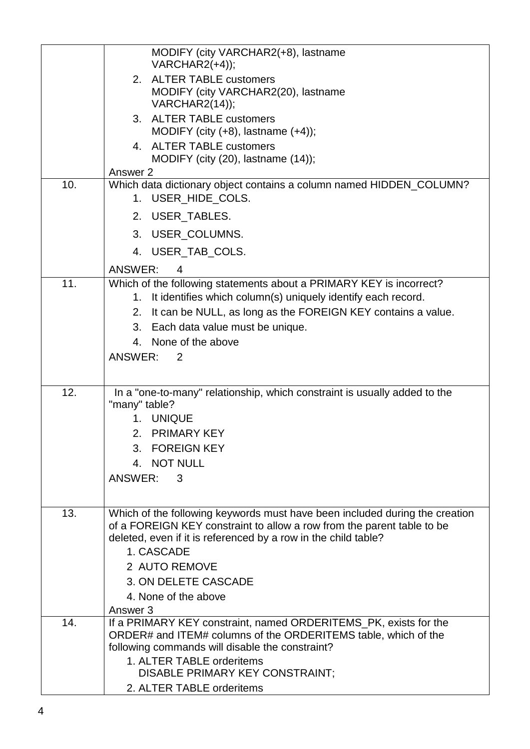|     | MODIFY (city VARCHAR2(+8), lastname<br>$VARCHAR2(+4))$ ;                                                                                                                                                                              |
|-----|---------------------------------------------------------------------------------------------------------------------------------------------------------------------------------------------------------------------------------------|
|     | 2. ALTER TABLE customers<br>MODIFY (city VARCHAR2(20), lastname<br>VARCHAR2(14));                                                                                                                                                     |
|     | 3. ALTER TABLE customers<br>MODIFY (city $(+8)$ , lastname $(+4)$ );                                                                                                                                                                  |
|     | 4. ALTER TABLE customers<br>MODIFY (city (20), lastname (14));                                                                                                                                                                        |
|     | Answer 2                                                                                                                                                                                                                              |
| 10. | Which data dictionary object contains a column named HIDDEN_COLUMN?<br>1. USER_HIDE_COLS.                                                                                                                                             |
|     | 2. USER_TABLES.                                                                                                                                                                                                                       |
|     | 3. USER_COLUMNS.                                                                                                                                                                                                                      |
|     | 4. USER_TAB_COLS.                                                                                                                                                                                                                     |
|     | <b>ANSWER:</b><br>4                                                                                                                                                                                                                   |
| 11. | Which of the following statements about a PRIMARY KEY is incorrect?                                                                                                                                                                   |
|     | It identifies which column(s) uniquely identify each record.<br>1.                                                                                                                                                                    |
|     | 2. It can be NULL, as long as the FOREIGN KEY contains a value.                                                                                                                                                                       |
|     | 3. Each data value must be unique.                                                                                                                                                                                                    |
|     | 4. None of the above                                                                                                                                                                                                                  |
|     | ANSWER: 2                                                                                                                                                                                                                             |
|     |                                                                                                                                                                                                                                       |
| 12. | In a "one-to-many" relationship, which constraint is usually added to the<br>"many" table?                                                                                                                                            |
|     | <b>UNIQUE</b><br>$1_{-}$                                                                                                                                                                                                              |
|     | 2. PRIMARY KEY                                                                                                                                                                                                                        |
|     | 3. FOREIGN KEY                                                                                                                                                                                                                        |
|     | 4. NOT NULL                                                                                                                                                                                                                           |
|     | ANSWER:<br>3                                                                                                                                                                                                                          |
|     |                                                                                                                                                                                                                                       |
| 13. | Which of the following keywords must have been included during the creation<br>of a FOREIGN KEY constraint to allow a row from the parent table to be<br>deleted, even if it is referenced by a row in the child table?<br>1. CASCADE |
|     | 2 AUTO REMOVE                                                                                                                                                                                                                         |
|     | 3. ON DELETE CASCADE                                                                                                                                                                                                                  |
|     | 4. None of the above                                                                                                                                                                                                                  |
|     | Answer 3                                                                                                                                                                                                                              |
| 14. | If a PRIMARY KEY constraint, named ORDERITEMS_PK, exists for the<br>ORDER# and ITEM# columns of the ORDERITEMS table, which of the<br>following commands will disable the constraint?                                                 |
|     | 1. ALTER TABLE orderitems                                                                                                                                                                                                             |
|     | DISABLE PRIMARY KEY CONSTRAINT;                                                                                                                                                                                                       |
|     | 2. ALTER TABLE orderitems                                                                                                                                                                                                             |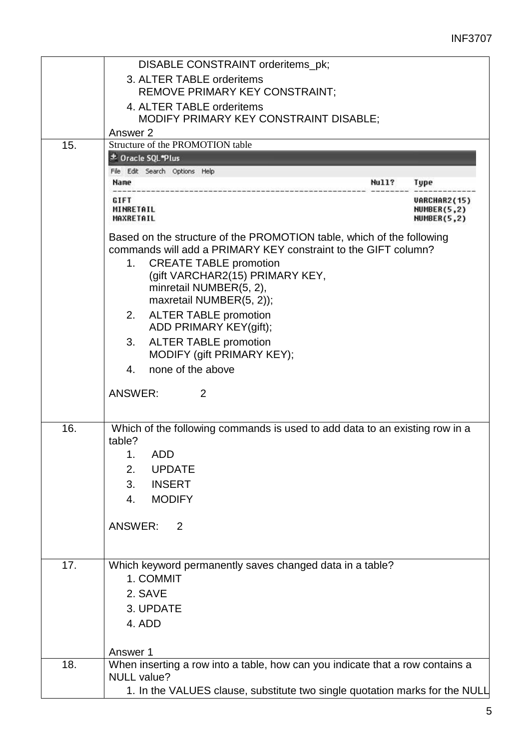|          | DISABLE CONSTRAINT orderitems_pk;                                             |              |                                                   |
|----------|-------------------------------------------------------------------------------|--------------|---------------------------------------------------|
|          | 3. ALTER TABLE orderitems                                                     |              |                                                   |
|          | REMOVE PRIMARY KEY CONSTRAINT;                                                |              |                                                   |
|          | 4. ALTER TABLE orderitems                                                     |              |                                                   |
|          | MODIFY PRIMARY KEY CONSTRAINT DISABLE;                                        |              |                                                   |
|          | Answer 2                                                                      |              |                                                   |
| 15.      | Structure of the PROMOTION table                                              |              |                                                   |
|          | <b>± Oracle SQL*Plus</b>                                                      |              |                                                   |
|          | File Edit Search Options Help                                                 |              |                                                   |
| Name     |                                                                               | <b>Null?</b> | Type                                              |
| GIFT     | MINRETAIL<br>MAXRETAIL                                                        |              | <b>VARCHAR2(15)</b><br>NUMBER(5,2)<br>NUMBER(5,2) |
|          | Based on the structure of the PROMOTION table, which of the following         |              |                                                   |
|          | commands will add a PRIMARY KEY constraint to the GIFT column?                |              |                                                   |
|          | <b>CREATE TABLE promotion</b><br>1.                                           |              |                                                   |
|          | (gift VARCHAR2(15) PRIMARY KEY,                                               |              |                                                   |
|          | minretail NUMBER(5, 2),                                                       |              |                                                   |
|          | maxretail NUMBER(5, 2));                                                      |              |                                                   |
|          | <b>ALTER TABLE promotion</b><br>2.                                            |              |                                                   |
|          | ADD PRIMARY KEY(gift);                                                        |              |                                                   |
|          | <b>ALTER TABLE promotion</b><br>3.                                            |              |                                                   |
|          | MODIFY (gift PRIMARY KEY);                                                    |              |                                                   |
|          | none of the above<br>4.                                                       |              |                                                   |
|          | <b>ANSWER:</b><br>2                                                           |              |                                                   |
|          |                                                                               |              |                                                   |
|          |                                                                               |              |                                                   |
| 16.      | Which of the following commands is used to add data to an existing row in a   |              |                                                   |
| table?   |                                                                               |              |                                                   |
|          | 1.<br>ADD                                                                     |              |                                                   |
|          | 2.<br><b>UPDATE</b>                                                           |              |                                                   |
|          | <b>INSERT</b><br>3.                                                           |              |                                                   |
|          | <b>MODIFY</b><br>4.                                                           |              |                                                   |
|          |                                                                               |              |                                                   |
|          | <b>ANSWER:</b><br>2                                                           |              |                                                   |
|          |                                                                               |              |                                                   |
|          |                                                                               |              |                                                   |
| 17.      | Which keyword permanently saves changed data in a table?                      |              |                                                   |
|          | 1. COMMIT                                                                     |              |                                                   |
|          | 2. SAVE                                                                       |              |                                                   |
|          | 3. UPDATE                                                                     |              |                                                   |
|          | 4. ADD                                                                        |              |                                                   |
|          |                                                                               |              |                                                   |
| Answer 1 |                                                                               |              |                                                   |
| 18.      | When inserting a row into a table, how can you indicate that a row contains a |              |                                                   |
|          | <b>NULL</b> value?                                                            |              |                                                   |
|          | 1. In the VALUES clause, substitute two single quotation marks for the NULL   |              |                                                   |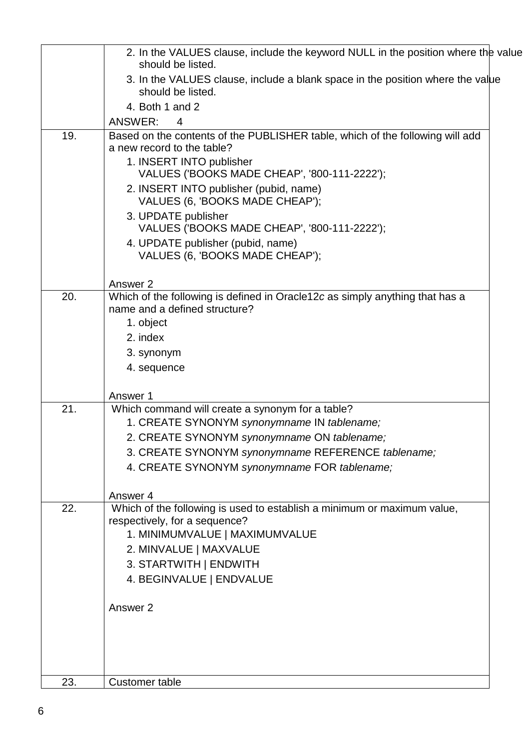|     | 2. In the VALUES clause, include the keyword NULL in the position where the value<br>should be listed.      |  |
|-----|-------------------------------------------------------------------------------------------------------------|--|
|     | 3. In the VALUES clause, include a blank space in the position where the value                              |  |
|     | should be listed.                                                                                           |  |
|     | 4. Both 1 and 2                                                                                             |  |
|     | ANSWER:<br>4                                                                                                |  |
| 19. | Based on the contents of the PUBLISHER table, which of the following will add<br>a new record to the table? |  |
|     | 1. INSERT INTO publisher                                                                                    |  |
|     | VALUES ('BOOKS MADE CHEAP', '800-111-2222');                                                                |  |
|     | 2. INSERT INTO publisher (pubid, name)<br>VALUES (6, 'BOOKS MADE CHEAP');                                   |  |
|     | 3. UPDATE publisher<br>VALUES ('BOOKS MADE CHEAP', '800-111-2222');                                         |  |
|     | 4. UPDATE publisher (pubid, name)<br>VALUES (6, 'BOOKS MADE CHEAP');                                        |  |
|     | Answer 2                                                                                                    |  |
| 20. | Which of the following is defined in Oracle12c as simply anything that has a                                |  |
|     | name and a defined structure?                                                                               |  |
|     | 1. object<br>2. index                                                                                       |  |
|     | 3. synonym                                                                                                  |  |
|     | 4. sequence                                                                                                 |  |
|     |                                                                                                             |  |
| 21. | Answer 1                                                                                                    |  |
|     | Which command will create a synonym for a table?<br>1. CREATE SYNONYM synonymname IN tablename;             |  |
|     | 2. CREATE SYNONYM synonymname ON tablename;                                                                 |  |
|     | 3. CREATE SYNONYM synonymname REFERENCE tablename;                                                          |  |
|     | 4. CREATE SYNONYM synonymname FOR tablename;                                                                |  |
|     |                                                                                                             |  |
|     | Answer 4                                                                                                    |  |
| 22. | Which of the following is used to establish a minimum or maximum value,<br>respectively, for a sequence?    |  |
|     | 1. MINIMUMVALUE   MAXIMUMVALUE                                                                              |  |
|     | 2. MINVALUE   MAXVALUE                                                                                      |  |
|     | 3. STARTWITH   ENDWITH                                                                                      |  |
|     | 4. BEGINVALUE   ENDVALUE                                                                                    |  |
|     | Answer 2                                                                                                    |  |
|     |                                                                                                             |  |
|     |                                                                                                             |  |
|     |                                                                                                             |  |
| 23. | <b>Customer table</b>                                                                                       |  |